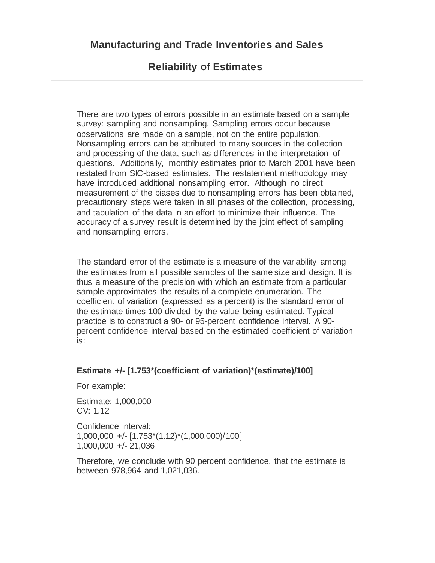## **Reliability of Estimates**

There are two types of errors possible in an estimate based on a sample survey: sampling and nonsampling. Sampling errors occur because observations are made on a sample, not on the entire population. Nonsampling errors can be attributed to many sources in the collection and processing of the data, such as differences in the interpretation of questions. Additionally, monthly estimates prior to March 2001 have been restated from SIC-based estimates. The restatement methodology may have introduced additional nonsampling error. Although no direct measurement of the biases due to nonsampling errors has been obtained, precautionary steps were taken in all phases of the collection, processing, and tabulation of the data in an effort to minimize their influence. The accuracy of a survey result is determined by the joint effect of sampling and nonsampling errors.

The standard error of the estimate is a measure of the variability among the estimates from all possible samples of the same size and design. It is thus a measure of the precision with which an estimate from a particular sample approximates the results of a complete enumeration. The coefficient of variation (expressed as a percent) is the standard error of the estimate times 100 divided by the value being estimated. Typical practice is to construct a 90- or 95-percent confidence interval. A 90 percent confidence interval based on the estimated coefficient of variation is:

## **Estimate +/- [1.753\*(coefficient of variation)\*(estimate)/100]**

For example:

Estimate: 1,000,000 CV: 1.12

Confidence interval: 1,000,000 +/- [1.753\*(1.12)\*(1,000,000)/100] 1,000,000 +/- 21,036

Therefore, we conclude with 90 percent confidence, that the estimate is between 978,964 and 1,021,036.